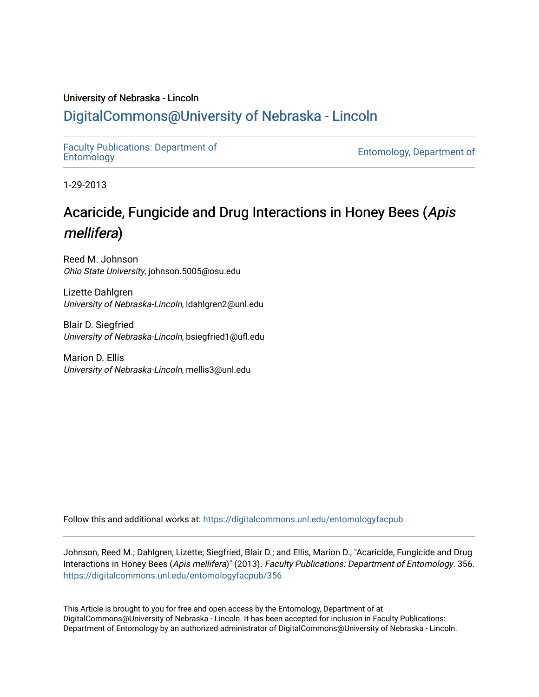### University of Nebraska - Lincoln

## [DigitalCommons@University of Nebraska - Lincoln](https://digitalcommons.unl.edu/)

[Faculty Publications: Department of](https://digitalcommons.unl.edu/entomologyfacpub) 

[Entomology](https://digitalcommons.unl.edu/entomologyfacpub), Department of

1-29-2013

# Acaricide, Fungicide and Drug Interactions in Honey Bees (Apis mellifera)

Reed M. Johnson Ohio State University, johnson.5005@osu.edu

Lizette Dahlgren University of Nebraska-Lincoln, ldahlgren2@unl.edu

Blair D. Siegfried University of Nebraska-Lincoln, bsiegfried1@ufl.edu

Marion D. Ellis University of Nebraska-Lincoln, mellis3@unl.edu

Follow this and additional works at: [https://digitalcommons.unl.edu/entomologyfacpub](https://digitalcommons.unl.edu/entomologyfacpub?utm_source=digitalcommons.unl.edu%2Fentomologyfacpub%2F356&utm_medium=PDF&utm_campaign=PDFCoverPages)

Johnson, Reed M.; Dahlgren, Lizette; Siegfried, Blair D.; and Ellis, Marion D., "Acaricide, Fungicide and Drug Interactions in Honey Bees (Apis mellifera)" (2013). Faculty Publications: Department of Entomology. 356. [https://digitalcommons.unl.edu/entomologyfacpub/356](https://digitalcommons.unl.edu/entomologyfacpub/356?utm_source=digitalcommons.unl.edu%2Fentomologyfacpub%2F356&utm_medium=PDF&utm_campaign=PDFCoverPages)

This Article is brought to you for free and open access by the Entomology, Department of at DigitalCommons@University of Nebraska - Lincoln. It has been accepted for inclusion in Faculty Publications: Department of Entomology by an authorized administrator of DigitalCommons@University of Nebraska - Lincoln.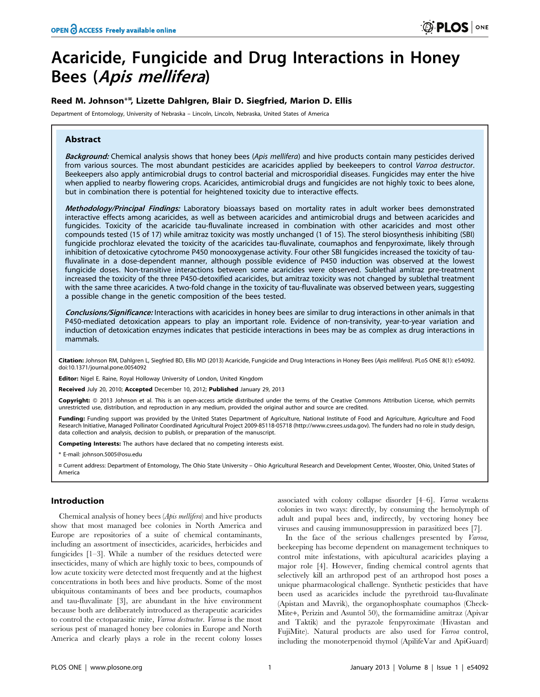# Acaricide, Fungicide and Drug Interactions in Honey Bees (Apis mellifera)

#### Reed M. Johnson\*<sup>¤</sup>, Lizette Dahlgren, Blair D. Siegfried, Marion D. Ellis

Department of Entomology, University of Nebraska – Lincoln, Lincoln, Nebraska, United States of America

#### Abstract

Background: Chemical analysis shows that honey bees (Apis mellifera) and hive products contain many pesticides derived from various sources. The most abundant pesticides are acaricides applied by beekeepers to control Varroa destructor. Beekeepers also apply antimicrobial drugs to control bacterial and microsporidial diseases. Fungicides may enter the hive when applied to nearby flowering crops. Acaricides, antimicrobial drugs and fungicides are not highly toxic to bees alone, but in combination there is potential for heightened toxicity due to interactive effects.

Methodology/Principal Findings: Laboratory bioassays based on mortality rates in adult worker bees demonstrated interactive effects among acaricides, as well as between acaricides and antimicrobial drugs and between acaricides and fungicides. Toxicity of the acaricide tau-fluvalinate increased in combination with other acaricides and most other compounds tested (15 of 17) while amitraz toxicity was mostly unchanged (1 of 15). The sterol biosynthesis inhibiting (SBI) fungicide prochloraz elevated the toxicity of the acaricides tau-fluvalinate, coumaphos and fenpyroximate, likely through inhibition of detoxicative cytochrome P450 monooxygenase activity. Four other SBI fungicides increased the toxicity of taufluvalinate in a dose-dependent manner, although possible evidence of P450 induction was observed at the lowest fungicide doses. Non-transitive interactions between some acaricides were observed. Sublethal amitraz pre-treatment increased the toxicity of the three P450-detoxified acaricides, but amitraz toxicity was not changed by sublethal treatment with the same three acaricides. A two-fold change in the toxicity of tau-fluvalinate was observed between years, suggesting a possible change in the genetic composition of the bees tested.

Conclusions/Significance: Interactions with acaricides in honey bees are similar to drug interactions in other animals in that P450-mediated detoxication appears to play an important role. Evidence of non-transivity, year-to-year variation and induction of detoxication enzymes indicates that pesticide interactions in bees may be as complex as drug interactions in mammals.

Citation: Johnson RM, Dahlgren L, Siegfried BD, Ellis MD (2013) Acaricide, Fungicide and Drug Interactions in Honey Bees (Apis mellifera). PLoS ONE 8(1): e54092. doi:10.1371/journal.pone.0054092

Editor: Nigel E. Raine, Royal Holloway University of London, United Kingdom

Received July 20, 2010; Accepted December 10, 2012; Published January 29, 2013

**Copyright:** © 2013 Johnson et al. This is an open-access article distributed under the terms of the Creative Commons Attribution License, which permits unrestricted use, distribution, and reproduction in any medium, provided the original author and source are credited.

Funding: Funding support was provided by the United States Department of Agriculture, National Institute of Food and Agriculture, Agriculture and Food Research Initiative, Managed Pollinator Coordinated Agricultural Project 2009-85118-05718 (http://www.csrees.usda.gov). The funders had no role in study design, data collection and analysis, decision to publish, or preparation of the manuscript.

Competing Interests: The authors have declared that no competing interests exist.

\* E-mail: johnson.5005@osu.edu

¤ Current address: Department of Entomology, The Ohio State University – Ohio Agricultural Research and Development Center, Wooster, Ohio, United States of America

#### Introduction

Chemical analysis of honey bees (Apis mellifera) and hive products show that most managed bee colonies in North America and Europe are repositories of a suite of chemical contaminants, including an assortment of insecticides, acaricides, herbicides and fungicides [1–3]. While a number of the residues detected were insecticides, many of which are highly toxic to bees, compounds of low acute toxicity were detected most frequently and at the highest concentrations in both bees and hive products. Some of the most ubiquitous contaminants of bees and bee products, coumaphos and tau-fluvalinate [3], are abundant in the hive environment because both are deliberately introduced as therapeutic acaricides to control the ectoparasitic mite, Varroa destructor. Varroa is the most serious pest of managed honey bee colonies in Europe and North America and clearly plays a role in the recent colony losses

associated with colony collapse disorder [4–6]. Varroa weakens colonies in two ways: directly, by consuming the hemolymph of adult and pupal bees and, indirectly, by vectoring honey bee viruses and causing immunosuppression in parasitized bees [7].

In the face of the serious challenges presented by Varroa, beekeeping has become dependent on management techniques to control mite infestations, with apicultural acaricides playing a major role [4]. However, finding chemical control agents that selectively kill an arthropod pest of an arthropod host poses a unique pharmacological challenge. Synthetic pesticides that have been used as acaricides include the pyrethroid tau-fluvalinate (Apistan and Mavrik), the organophosphate coumaphos (Check-Mite+, Perizin and Asuntol 50), the formamidine amitraz (Apivar and Taktik) and the pyrazole fenpyroximate (Hivastan and FujiMite). Natural products are also used for Varroa control, including the monoterpenoid thymol (ApilifeVar and ApiGuard)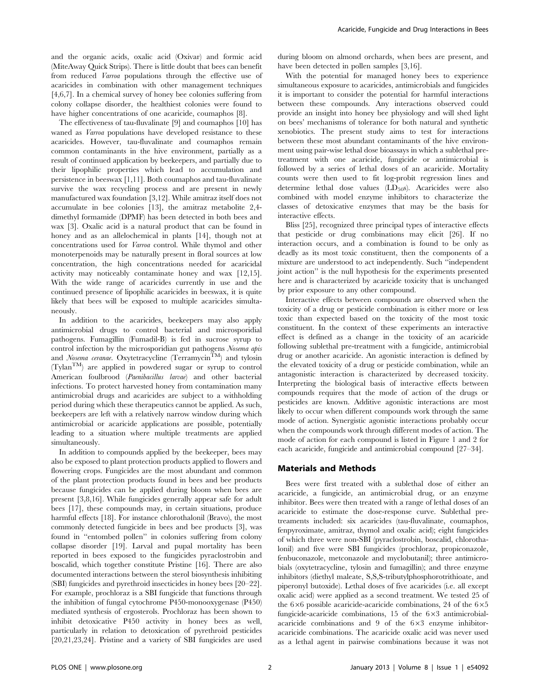and the organic acids, oxalic acid (Oxivar) and formic acid (MiteAway Quick Strips). There is little doubt that bees can benefit from reduced Varroa populations through the effective use of acaricides in combination with other management techniques [4,6,7]. In a chemical survey of honey bee colonies suffering from colony collapse disorder, the healthiest colonies were found to have higher concentrations of one acaricide, coumaphos [8].

The effectiveness of tau-fluvalinate [9] and coumaphos [10] has waned as *Varroa* populations have developed resistance to these acaricides. However, tau-fluvalinate and coumaphos remain common contaminants in the hive environment, partially as a result of continued application by beekeepers, and partially due to their lipophilic properties which lead to accumulation and persistence in beeswax [1,11]. Both coumaphos and tau-fluvalinate survive the wax recycling process and are present in newly manufactured wax foundation [3,12]. While amitraz itself does not accumulate in bee colonies [13], the amitraz metabolite 2,4 dimethyl formamide (DPMF) has been detected in both bees and wax [3]. Oxalic acid is a natural product that can be found in honey and as an allelochemical in plants [14], though not at concentrations used for Varroa control. While thymol and other monoterpenoids may be naturally present in floral sources at low concentration, the high concentrations needed for acaricidal activity may noticeably contaminate honey and wax [12,15]. With the wide range of acaricides currently in use and the continued presence of lipophilic acaricides in beeswax, it is quite likely that bees will be exposed to multiple acaricides simultaneously.

In addition to the acaricides, beekeepers may also apply antimicrobial drugs to control bacterial and microsporidial pathogens. Fumagillin (Fumadil-B) is fed in sucrose syrup to control infection by the microsporidian gut pathogens Nosema apis and Nosema ceranae. Oxytetracycline (Terramycin<sup>TM</sup>) and tylosin (TylanTM) are applied in powdered sugar or syrup to control American foulbrood (Paenibacillus larvae) and other bacterial infections. To protect harvested honey from contamination many antimicrobial drugs and acaricides are subject to a withholding period during which these therapeutics cannot be applied. As such, beekeepers are left with a relatively narrow window during which antimicrobial or acaricide applications are possible, potentially leading to a situation where multiple treatments are applied simultaneously.

In addition to compounds applied by the beekeeper, bees may also be exposed to plant protection products applied to flowers and flowering crops. Fungicides are the most abundant and common of the plant protection products found in bees and bee products because fungicides can be applied during bloom when bees are present [3,8,16]. While fungicides generally appear safe for adult bees [17], these compounds may, in certain situations, produce harmful effects [18]. For instance chlorothalonil (Bravo), the most commonly detected fungicide in bees and bee products [3], was found in ''entombed pollen'' in colonies suffering from colony collapse disorder [19]. Larval and pupal mortality has been reported in bees exposed to the fungicides pyraclostrobin and boscalid, which together constitute Pristine [16]. There are also documented interactions between the sterol biosynthesis inhibiting (SBI) fungicides and pyrethroid insecticides in honey bees [20–22]. For example, prochloraz is a SBI fungicide that functions through the inhibition of fungal cytochrome P450-monooxygenase (P450) mediated synthesis of ergosterols. Prochloraz has been shown to inhibit detoxicative P450 activity in honey bees as well, particularly in relation to detoxication of pyrethroid pesticides [20,21,23,24]. Pristine and a variety of SBI fungicides are used during bloom on almond orchards, when bees are present, and have been detected in pollen samples [3,16].

With the potential for managed honey bees to experience simultaneous exposure to acaricides, antimicrobials and fungicides it is important to consider the potential for harmful interactions between these compounds. Any interactions observed could provide an insight into honey bee physiology and will shed light on bees' mechanisms of tolerance for both natural and synthetic xenobiotics. The present study aims to test for interactions between these most abundant contaminants of the hive environment using pair-wise lethal dose bioassays in which a sublethal pretreatment with one acaricide, fungicide or antimicrobial is followed by a series of lethal doses of an acaricide. Mortality counts were then used to fit log-probit regression lines and determine lethal dose values  $(LD_{50}s)$ . Acaricides were also combined with model enzyme inhibitors to characterize the classes of detoxicative enzymes that may be the basis for interactive effects.

Bliss [25], recognized three principal types of interactive effects that pesticide or drug combinations may elicit [26]. If no interaction occurs, and a combination is found to be only as deadly as its most toxic constituent, then the components of a mixture are understood to act independently. Such ''independent joint action'' is the null hypothesis for the experiments presented here and is characterized by acaricide toxicity that is unchanged by prior exposure to any other compound.

Interactive effects between compounds are observed when the toxicity of a drug or pesticide combination is either more or less toxic than expected based on the toxicity of the most toxic constituent. In the context of these experiments an interactive effect is defined as a change in the toxicity of an acaricide following sublethal pre-treatment with a fungicide, antimicrobial drug or another acaricide. An agonistic interaction is defined by the elevated toxicity of a drug or pesticide combination, while an antagonistic interaction is characterized by decreased toxicity. Interpreting the biological basis of interactive effects between compounds requires that the mode of action of the drugs or pesticides are known. Additive agonistic interactions are most likely to occur when different compounds work through the same mode of action. Synergistic agonistic interactions probably occur when the compounds work through different modes of action. The mode of action for each compound is listed in Figure 1 and 2 for each acaricide, fungicide and antimicrobial compound [27–34].

#### Materials and Methods

Bees were first treated with a sublethal dose of either an acaricide, a fungicide, an antimicrobial drug, or an enzyme inhibitor. Bees were then treated with a range of lethal doses of an acaricide to estimate the dose-response curve. Sublethal pretreaments included: six acaricides (tau-fluvalinate, coumaphos, fenpyroximate, amitraz, thymol and oxalic acid); eight fungicides of which three were non-SBI (pyraclostrobin, boscalid, chlorothalonil) and five were SBI fungicides (prochloraz, propiconazole, fenbuconazole, metconazole and myclobutanil); three antimicrobials (oxytetracycline, tylosin and fumagillin); and three enzyme inhibitors (diethyl maleate, S,S,S-tributylphosphorotrithioate, and piperonyl butoxide). Lethal doses of five acaricides (i.e. all except oxalic acid) were applied as a second treatment. We tested 25 of the  $6\times6$  possible acaricide-acaricide combinations, 24 of the  $6\times5$ fungicide-acaricide combinations, 15 of the  $6\times3$  antimicrobialacaricide combinations and  $9$  of the  $6\times3$  enzyme inhibitoracaricide combinations. The acaricide oxalic acid was never used as a lethal agent in pairwise combinations because it was not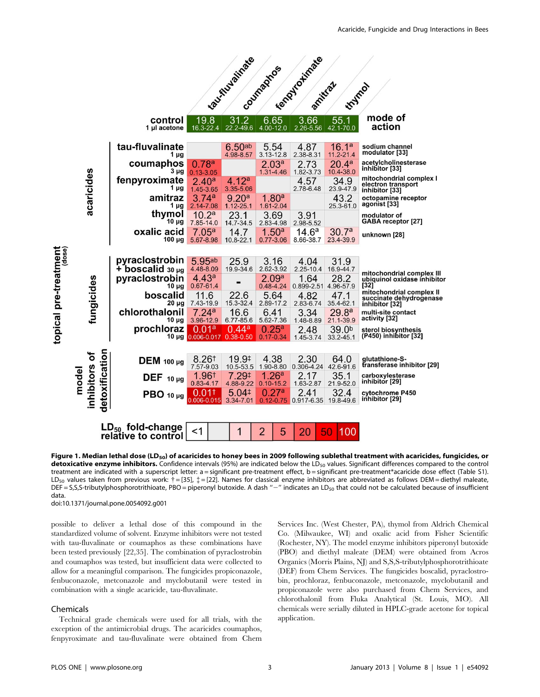

Figure 1. Median lethal dose (LD<sub>50</sub>) of acaricides to honey bees in 2009 following sublethal treatment with acaricides, fungicides, or detoxicative enzyme inhibitors. Confidence intervals (95%) are indicated below the LD<sub>50</sub> values. Significant differences compared to the control treatment are indicated with a superscript letter: a = significant pre-treatment effect, b = significant pre-treatment\*acaricide dose effect (Table S1). LD<sub>50</sub> values taken from previous work:  $\dagger$  = [35],  $\dagger$  = [22]. Names for classical enzyme inhibitors are abbreviated as follows DEM = diethyl maleate, DEF = S,S,S-tributylphosphorotrithioate, PBO = piperonyl butoxide. A dash "-" indicates an LD<sub>50</sub> that could not be calculated because of insufficient data.

doi:10.1371/journal.pone.0054092.g001

possible to deliver a lethal dose of this compound in the standardized volume of solvent. Enzyme inhibitors were not tested with tau-fluvalinate or coumaphos as these combinations have been tested previously [22,35]. The combination of pyraclostrobin and coumaphos was tested, but insufficient data were collected to allow for a meaningful comparison. The fungicides propiconazole, fenbuconazole, metconazole and myclobutanil were tested in combination with a single acaricide, tau-fluvalinate.

#### Chemicals

Technical grade chemicals were used for all trials, with the exception of the antimicrobial drugs. The acaricides coumaphos, fenpyroximate and tau-fluvalinate were obtained from Chem

Services Inc. (West Chester, PA), thymol from Aldrich Chemical Co. (Milwaukee, WI) and oxalic acid from Fisher Scientific (Rochester, NY). The model enzyme inhibitors piperonyl butoxide (PBO) and diethyl maleate (DEM) were obtained from Acros Organics (Morris Plains, NJ) and S,S,S-tributylphosphorotrithioate (DEF) from Chem Services. The fungicides boscalid, pyraclostrobin, prochloraz, fenbuconazole, metconazole, myclobutanil and propiconazole were also purchased from Chem Services, and chlorothalonil from Fluka Analytical (St. Louis, MO). All chemicals were serially diluted in HPLC-grade acetone for topical application.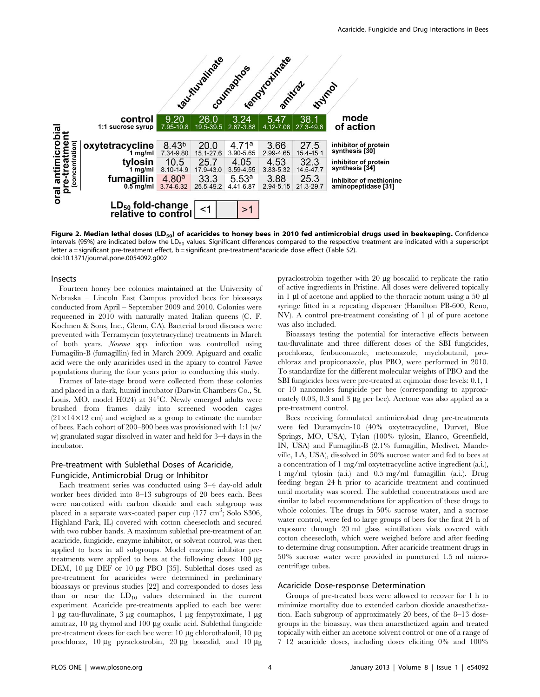

Figure 2. Median lethal doses (LD<sub>50</sub>) of acaricides to honey bees in 2010 fed antimicrobial drugs used in beekeeping. Confidence intervals (95%) are indicated below the LD<sub>50</sub> values. Significant differences compared to the respective treatment are indicated with a superscript letter a = significant pre-treatment effect, b = significant pre-treatment\*acaricide dose effect (Table S2). doi:10.1371/journal.pone.0054092.g002

#### Insects

Fourteen honey bee colonies maintained at the University of Nebraska – Lincoln East Campus provided bees for bioassays conducted from April – September 2009 and 2010. Colonies were requeened in 2010 with naturally mated Italian queens (C. F. Koehnen & Sons, Inc., Glenn, CA). Bacterial brood diseases were prevented with Terramycin (oxytetracycline) treatments in March of both years. Nosema spp. infection was controlled using Fumagilin-B (fumagillin) fed in March 2009. Apiguard and oxalic acid were the only acaricides used in the apiary to control Varroa populations during the four years prior to conducting this study.

Frames of late-stage brood were collected from these colonies and placed in a dark, humid incubator (Darwin Chambers Co., St. Louis, MO, model H024) at  $34^{\circ}$ C. Newly emerged adults were brushed from frames daily into screened wooden cages  $(21\times14\times12$  cm) and weighed as a group to estimate the number of bees. Each cohort of 200–800 bees was provisioned with 1:1 (w/ w) granulated sugar dissolved in water and held for 3–4 days in the incubator.

#### Pre-treatment with Sublethal Doses of Acaricide, Fungicide, Antimicrobial Drug or Inhibitor

Each treatment series was conducted using 3–4 day-old adult worker bees divided into 8–13 subgroups of 20 bees each. Bees were narcotized with carbon dioxide and each subgroup was placed in a separate wax-coated paper cup (177 cm<sup>3</sup>; Solo S306, Highland Park, IL) covered with cotton cheesecloth and secured with two rubber bands. A maximum sublethal pre-treatment of an acaricide, fungicide, enzyme inhibitor, or solvent control, was then applied to bees in all subgroups. Model enzyme inhibitor pretreatments were applied to bees at the following doses:  $100 \mu$ g DEM, 10 μg DEF or 10 μg PBO [35]. Sublethal doses used as pre-treatment for acaricides were determined in preliminary bioassays or previous studies [22] and corresponded to doses less than or near the  $LD_{10}$  values determined in the current experiment. Acaricide pre-treatments applied to each bee were: 1  $\mu$ g tau-fluvalinate, 3  $\mu$ g coumaphos, 1  $\mu$ g fenpyroximate, 1  $\mu$ g amitraz,  $10 \mu$ g thymol and  $100 \mu$ g oxalic acid. Sublethal fungicide pre-treatment doses for each bee were:  $10 \mu$ g chlorothalonil,  $10 \mu$ g prochloraz,  $10 \mu$ g pyraclostrobin,  $20 \mu$ g boscalid, and  $10 \mu$ g pyraclostrobin together with  $20 \mu$ g boscalid to replicate the ratio of active ingredients in Pristine. All doses were delivered topically in  $1 \mu$ l of acetone and applied to the thoracic notum using a 50  $\mu$ l syringe fitted in a repeating dispenser (Hamilton PB-600, Reno, NV). A control pre-treatment consisting of  $1 \mu l$  of pure acetone was also included.

Bioassays testing the potential for interactive effects between tau-fluvalinate and three different doses of the SBI fungicides, prochloraz, fenbuconazole, metconazole, myclobutanil, prochloraz and propiconazole, plus PBO, were performed in 2010. To standardize for the different molecular weights of PBO and the SBI fungicides bees were pre-treated at eqimolar dose levels: 0.1, 1 or 10 nanomoles fungicide per bee (corresponding to approximately  $0.03$ ,  $0.3$  and  $3 \mu$ g per bee). Acetone was also applied as a pre-treatment control.

Bees receiving formulated antimicrobial drug pre-treatments were fed Duramycin-10 (40% oxytetracycline, Durvet, Blue Springs, MO, USA), Tylan (100% tylosin, Elanco, Greenfield, IN, USA) and Fumagilin-B (2.1% fumagillin, Medivet, Mandeville, LA, USA), dissolved in 50% sucrose water and fed to bees at a concentration of 1 mg/ml oxytetracycline active ingredient (a.i.), 1 mg/ml tylosin (a.i.) and 0.5 mg/ml fumagillin (a.i.). Drug feeding began 24 h prior to acaricide treatment and continued until mortality was scored. The sublethal concentrations used are similar to label recommendations for application of these drugs to whole colonies. The drugs in 50% sucrose water, and a sucrose water control, were fed to large groups of bees for the first 24 h of exposure through 20 ml glass scintillation vials covered with cotton cheesecloth, which were weighed before and after feeding to determine drug consumption. After acaricide treatment drugs in 50% sucrose water were provided in punctured 1.5 ml microcentrifuge tubes.

#### Acaricide Dose-response Determination

Groups of pre-treated bees were allowed to recover for 1 h to minimize mortality due to extended carbon dioxide anaesthetization. Each subgroup of approximately 20 bees, of the 8–13 dosegroups in the bioassay, was then anaesthetized again and treated topically with either an acetone solvent control or one of a range of 7–12 acaricide doses, including doses eliciting 0% and 100%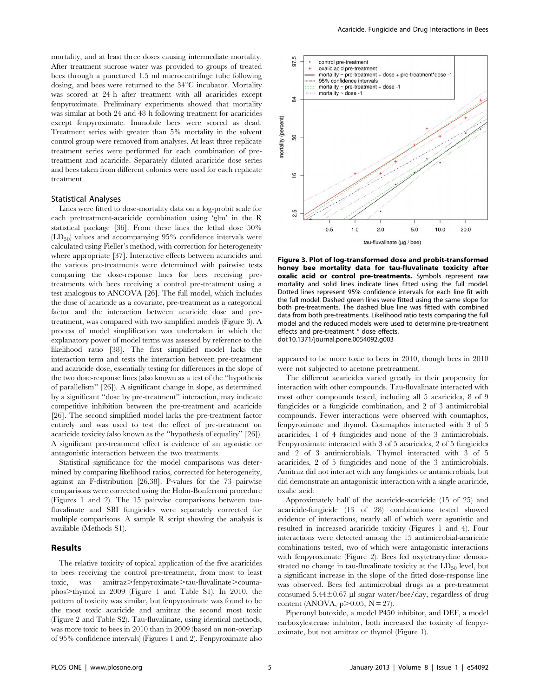mortality, and at least three doses causing intermediate mortality. After treatment sucrose water was provided to groups of treated bees through a punctured 1.5 ml microcentrifuge tube following dosing, and bees were returned to the  $34^{\circ}$ C incubator. Mortality was scored at 24 h after treatment with all acaricides except fenpyroximate. Preliminary experiments showed that mortality was similar at both 24 and 48 h following treatment for acaricides except fenpyroximate. Immobile bees were scored as dead. Treatment series with greater than 5% mortality in the solvent control group were removed from analyses. At least three replicate treatment series were performed for each combination of pretreatment and acaricide. Separately diluted acaricide dose series and bees taken from different colonies were used for each replicate treatment.

#### Statistical Analyses

Lines were fitted to dose-mortality data on a log-probit scale for each pretreatment-acaricide combination using 'glm' in the R statistical package [36]. From these lines the lethal dose 50%  $(LD_{50})$  values and accompanying 95% confidence intervals were calculated using Fieller's method, with correction for heterogeneity where appropriate [37]. Interactive effects between acaricides and the various pre-treatments were determined with pairwise tests comparing the dose-response lines for bees receiving pretreatments with bees receiving a control pre-treatment using a test analogous to ANCOVA [26]. The full model, which includes the dose of acaricide as a covariate, pre-treatment as a categorical factor and the interaction between acaricide dose and pretreatment, was compared with two simplified models (Figure 3). A process of model simplification was undertaken in which the explanatory power of model terms was assessed by reference to the likelihood ratio [38]. The first simplified model lacks the interaction term and tests the interaction between pre-treatment and acaricide dose, essentially testing for differences in the slope of the two dose-response lines (also known as a test of the ''hypothesis of parallelism'' [26]). A significant change in slope, as determined by a significant ''dose by pre-treatment'' interaction, may indicate competitive inhibition between the pre-treatment and acaricide [26]. The second simplified model lacks the pre-treatment factor entirely and was used to test the effect of pre-treatment on acaricide toxicity (also known as the ''hypothesis of equality'' [26]). A significant pre-treatment effect is evidence of an agonistic or antagonistic interaction between the two treatments.

Statistical significance for the model comparisons was determined by comparing likelihood ratios, corrected for heterogeneity, against an F-distribution [26,38]. P-values for the 73 pairwise comparisons were corrected using the Holm-Bonferroni procedure (Figures 1 and 2). The 15 pairwise comparisons between taufluvalinate and SBI fungicides were separately corrected for multiple comparisons. A sample R script showing the analysis is available (Methods S1).

#### Results

The relative toxicity of topical application of the five acaricides to bees receiving the control pre-treatment, from most to least toxic, was amitraz>fenpyroximate>tau-fluvalinate>coumaphos $>$ thymol in 2009 (Figure 1 and Table S1). In 2010, the pattern of toxicity was similar, but fenpyroximate was found to be the most toxic acaricide and amitraz the second most toxic (Figure 2 and Table S2). Tau-fluvalinate, using identical methods, was more toxic to bees in 2010 than in 2009 (based on non-overlap of 95% confidence intervals) (Figures 1 and 2). Fenpyroximate also



Figure 3. Plot of log-transformed dose and probit-transformed honey bee mortality data for tau-fluvalinate toxicity after oxalic acid or control pre-treatments. Symbols represent raw mortality and solid lines indicate lines fitted using the full model. Dotted lines represent 95% confidence intervals for each line fit with the full model. Dashed green lines were fitted using the same slope for both pre-treatments. The dashed blue line was fitted with combined data from both pre-treatments. Likelihood ratio tests comparing the full model and the reduced models were used to determine pre-treatment effects and pre-treatment \* dose effects. doi:10.1371/journal.pone.0054092.g003

appeared to be more toxic to bees in 2010, though bees in 2010 were not subjected to acetone pretreatment.

The different acaricides varied greatly in their propensity for interaction with other compounds. Tau-fluvalinate interacted with most other compounds tested, including all 5 acaricides, 8 of 9 fungicides or a fungicide combination, and 2 of 3 antimicrobial compounds. Fewer interactions were observed with coumaphos, fenpyroximate and thymol. Coumaphos interacted with 3 of 5 acaricides, 1 of 4 fungicides and none of the 3 antimicrobials. Fenpyroximate interacted with 3 of 5 acaricides, 2 of 5 fungicides and 2 of 3 antimicrobials. Thymol interacted with 3 of 5 acaricides, 2 of 5 fungicides and none of the 3 antimicrobials. Amitraz did not interact with any fungicides or antimicrobials, but did demonstrate an antagonistic interaction with a single acaricide, oxalic acid.

Approximately half of the acaricide-acaricide (15 of 25) and acaricide-fungicide (13 of 28) combinations tested showed evidence of interactions, nearly all of which were agonistic and resulted in increased acaricide toxicity (Figures 1 and 4). Four interactions were detected among the 15 antimicrobial-acaricide combinations tested, two of which were antagonistic interactions with fenpyroximate (Figure 2). Bees fed oxytetracycline demonstrated no change in tau-fluvalinate toxicity at the  $LD_{50}$  level, but a significant increase in the slope of the fitted dose-response line was observed. Bees fed antimicrobial drugs as a pre-treatment consumed  $5.44\pm0.67$  µl sugar water/bee/day, regardless of drug content (ANOVA,  $p > 0.05$ , N = 27).

Piperonyl butoxide, a model P450 inhibitor, and DEF, a model carboxylesterase inhibitor, both increased the toxicity of fenpyroximate, but not amitraz or thymol (Figure 1).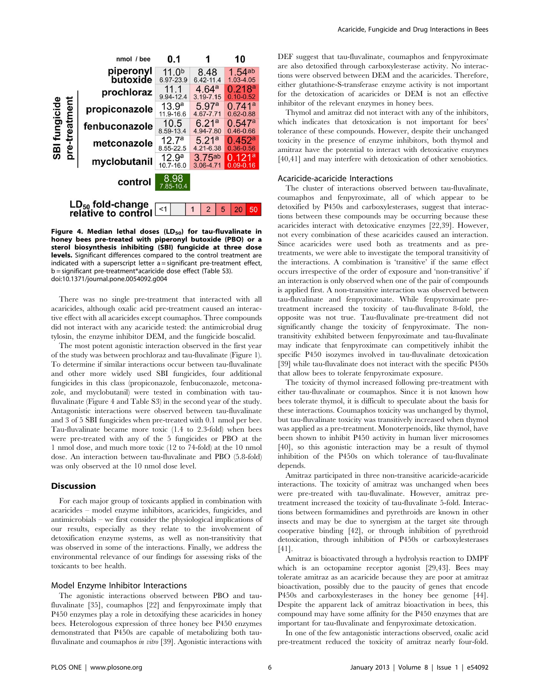

Figure 4. Median lethal doses  $(LD_{50})$  for tau-fluvalinate in honey bees pre-treated with piperonyl butoxide (PBO) or a sterol biosynthesis inhibiting (SBI) fungicide at three dose levels. Significant differences compared to the control treatment are indicated with a superscript letter a = significant pre-treatment effect, b = significant pre-treatment\*acaricide dose effect (Table S3). doi:10.1371/journal.pone.0054092.g004

There was no single pre-treatment that interacted with all acaricides, although oxalic acid pre-treatment caused an interactive effect with all acaricides except coumaphos. Three compounds did not interact with any acaricide tested: the antimicrobial drug tylosin, the enzyme inhibitor DEM, and the fungicide boscalid.

The most potent agonistic interaction observed in the first year of the study was between prochloraz and tau-fluvalinate (Figure 1). To determine if similar interactions occur between tau-fluvalinate and other more widely used SBI fungicides, four additional fungicides in this class (propiconazole, fenbuconazole, metconazole, and myclobutanil) were tested in combination with taufluvalinate (Figure 4 and Table S3) in the second year of the study. Antagonistic interactions were observed between tau-fluvalinate and 3 of 5 SBI fungicides when pre-treated with 0.1 nmol per bee. Tau-fluvalinate became more toxic (1.4 to 2.3-fold) when bees were pre-treated with any of the 5 fungicides or PBO at the 1 nmol dose, and much more toxic (12 to 74-fold) at the 10 nmol dose. An interaction between tau-fluvalinate and PBO (5.8-fold) was only observed at the 10 nmol dose level.

#### Discussion

For each major group of toxicants applied in combination with acaricides – model enzyme inhibitors, acaricides, fungicides, and antimicrobials – we first consider the physiological implications of our results, especially as they relate to the involvement of detoxification enzyme systems, as well as non-transitivity that was observed in some of the interactions. Finally, we address the environmental relevance of our findings for assessing risks of the toxicants to bee health.

#### Model Enzyme Inhibitor Interactions

The agonistic interactions observed between PBO and taufluvalinate [35], coumaphos [22] and fenpyroximate imply that P450 enzymes play a role in detoxifying these acaricides in honey bees. Heterologous expression of three honey bee P450 enzymes demonstrated that P450s are capable of metabolizing both taufluvalinate and coumaphos in vitro [39]. Agonistic interactions with DEF suggest that tau-fluvalinate, coumaphos and fenpyroximate are also detoxified through carboxylesterase activity. No interactions were observed between DEM and the acaricides. Therefore, either glutathione-S-transferase enzyme activity is not important for the detoxication of acaricides or DEM is not an effective inhibitor of the relevant enzymes in honey bees.

Thymol and amitraz did not interact with any of the inhibitors, which indicates that detoxication is not important for bees' tolerance of these compounds. However, despite their unchanged toxicity in the presence of enzyme inhibitors, both thymol and amitraz have the potential to interact with detoxicative enzymes [40,41] and may interfere with detoxication of other xenobiotics.

#### Acaricide-acaricide Interactions

The cluster of interactions observed between tau-fluvalinate, coumaphos and fenpyroximate, all of which appear to be detoxified by P450s and carboxylesterases, suggest that interactions between these compounds may be occurring because these acaricides interact with detoxicative enzymes [22,39]. However, not every combination of these acaricides caused an interaction. Since acaricides were used both as treatments and as pretreatments, we were able to investigate the temporal transitivity of the interactions. A combination is 'transitive' if the same effect occurs irrespective of the order of exposure and 'non-transitive' if an interaction is only observed when one of the pair of compounds is applied first. A non-transitive interaction was observed between tau-fluvalinate and fenpyroximate. While fenpyroximate pretreatment increased the toxicity of tau-fluvalinate 8-fold, the opposite was not true. Tau-fluvalinate pre-treatment did not significantly change the toxicity of fenpyroximate. The nontransitivity exhibited between fenpyroximate and tau-fluvalinate may indicate that fenpyroximate can competitively inhibit the specific P450 isozymes involved in tau-fluvalinate detoxication [39] while tau-fluvalinate does not interact with the specific P450s that allow bees to tolerate fenpyroximate exposure.

The toxicity of thymol increased following pre-treatment with either tau-fluvalinate or coumaphos. Since it is not known how bees tolerate thymol, it is difficult to speculate about the basis for these interactions. Coumaphos toxicity was unchanged by thymol, but tau-fluvalinate toxicity was transitively increased when thymol was applied as a pre-treatment. Monoterpenoids, like thymol, have been shown to inhibit P450 activity in human liver microsomes [40], so this agonistic interaction may be a result of thymol inhibition of the P450s on which tolerance of tau-fluvalinate depends.

Amitraz participated in three non-transitive acaricide-acaricide interactions. The toxicity of amitraz was unchanged when bees were pre-treated with tau-fluvalinate. However, amitraz pretreatment increased the toxicity of tau-fluvalinate 5-fold. Interactions between formamidines and pyrethroids are known in other insects and may be due to synergism at the target site through cooperative binding [42], or through inhibition of pyrethroid detoxication, through inhibition of P450s or carboxylesterases [41].

Amitraz is bioactivated through a hydrolysis reaction to DMPF which is an octopamine receptor agonist [29,43]. Bees may tolerate amitraz as an acaricide because they are poor at amitraz bioactivation, possibly due to the paucity of genes that encode P450s and carboxylesterases in the honey bee genome [44]. Despite the apparent lack of amitraz bioactivation in bees, this compound may have some affinity for the P450 enzymes that are important for tau-fluvalinate and fenpyroximate detoxication.

In one of the few antagonistic interactions observed, oxalic acid pre-treatment reduced the toxicity of amitraz nearly four-fold.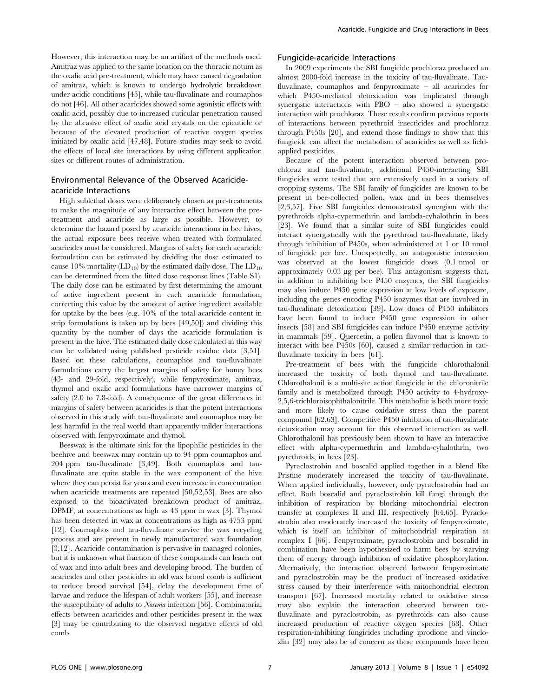However, this interaction may be an artifact of the methods used. Amitraz was applied to the same location on the thoracic notum as the oxalic acid pre-treatment, which may have caused degradation of amitraz, which is known to undergo hydrolytic breakdown under acidic conditions [45], while tau-fluvalinate and coumaphos do not [46]. All other acaricides showed some agonistic effects with oxalic acid, possibly due to increased cuticular penetration caused by the abrasive effect of oxalic acid crystals on the epicuticle or because of the elevated production of reactive oxygen species initiated by oxalic acid [47,48]. Future studies may seek to avoid the effects of local site interactions by using different application sites or different routes of administration.

#### Environmental Relevance of the Observed Acaricideacaricide Interactions

High sublethal doses were deliberately chosen as pre-treatments to make the magnitude of any interactive effect between the pretreatment and acaricide as large as possible. However, to determine the hazard posed by acaricide interactions in bee hives, the actual exposure bees receive when treated with formulated acaricides must be considered. Margins of safety for each acaricide formulation can be estimated by dividing the dose estimated to cause 10% mortality  $(LD_{10})$  by the estimated daily dose. The  $LD_{10}$ can be determined from the fitted dose response lines (Table S1). The daily dose can be estimated by first determining the amount of active ingredient present in each acaricide formulation, correcting this value by the amount of active ingredient available for uptake by the bees (e.g. 10% of the total acaricide content in strip formulations is taken up by bees [49,50]) and dividing this quantity by the number of days the acaricide formulation is present in the hive. The estimated daily dose calculated in this way can be validated using published pesticide residue data [3,51]. Based on these calculations, coumaphos and tau-fluvalinate formulations carry the largest margins of safety for honey bees (43- and 29-fold, respectively), while fenpyroximate, amitraz, thymol and oxalic acid formulations have narrower margins of safety (2.0 to 7.8-fold). A consequence of the great differences in margins of safety between acaricides is that the potent interactions observed in this study with tau-fluvalinate and coumaphos may be less harmful in the real world than apparently milder interactions observed with fenpyroximate and thymol.

Beeswax is the ultimate sink for the lipophilic pesticides in the beehive and beeswax may contain up to 94 ppm coumaphos and 204 ppm tau-fluvalinate [3,49]. Both coumaphos and taufluvalinate are quite stable in the wax component of the hive where they can persist for years and even increase in concentration when acaricide treatments are repeated [50,52,53]. Bees are also exposed to the bioactivated breakdown product of amitraz, DPMF, at concentrations as high as 43 ppm in wax [3]. Thymol has been detected in wax at concentrations as high as 4753 ppm [12]. Coumaphos and tau-fluvalinate survive the wax recycling process and are present in newly manufactured wax foundation [3,12]. Acaricide contamination is pervasive in managed colonies, but it is unknown what fraction of these compounds can leach out of wax and into adult bees and developing brood. The burden of acaricides and other pesticides in old wax brood comb is sufficient to reduce brood survival [54], delay the development time of larvae and reduce the lifespan of adult workers [55], and increase the susceptibility of adults to Nosema infection [56]. Combinatorial effects between acaricides and other pesticides present in the wax [3] may be contributing to the observed negative effects of old comb.

#### Fungicide-acaricide Interactions

In 2009 experiments the SBI fungicide prochloraz produced an almost 2000-fold increase in the toxicity of tau-fluvalinate. Taufluvalinate, coumaphos and fenpyroximate – all acaricides for which P450-mediated detoxication was implicated through synergistic interactions with  $PBO - also$  showed a synergistic interaction with prochloraz. These results confirm previous reports of interactions between pyrethroid insecticides and prochloraz through P450s [20], and extend those findings to show that this fungicide can affect the metabolism of acaricides as well as fieldapplied pesticides.

Because of the potent interaction observed between prochloraz and tau-fluvalinate, additional P450-interacting SBI fungicides were tested that are extensively used in a variety of cropping systems. The SBI family of fungicides are known to be present in bee-collected pollen, wax and in bees themselves [2,3,57]. Five SBI fungicides demonstrated synergism with the pyrethroids alpha-cypermethrin and lambda-cyhalothrin in bees [23]. We found that a similar suite of SBI fungicides could interact synergistically with the pyrethroid tau-fluvalinate, likely through inhibition of P450s, when administered at 1 or 10 nmol of fungicide per bee. Unexpectedly, an antagonistic interaction was observed at the lowest fungicide doses (0.1 nmol or approximately  $0.03 \mu g$  per bee). This antagonism suggests that, in addition to inhibiting bee P450 enzymes, the SBI fungicides may also induce P450 gene expression at low levels of exposure, including the genes encoding P450 isozymes that are involved in tau-fluvalinate detoxication [39]. Low doses of P450 inhibitors have been found to induce P450 gene expression in other insects [58] and SBI fungicides can induce P450 enzyme activity in mammals [59]. Quercetin, a pollen flavonol that is known to interact with bee P450s [60], caused a similar reduction in taufluvalinate toxicity in bees [61].

Pre-treatment of bees with the fungicide chlorothalonil increased the toxicity of both thymol and tau-fluvalinate. Chlorothalonil is a multi-site action fungicide in the chloronitrile family and is metabolized through P450 activity to 4-hydroxy-2,5,6-trichloroisophthalonitrile. This metabolite is both more toxic and more likely to cause oxidative stress than the parent compound [62,63]. Competitive P450 inhibition of tau-fluvalinate detoxication may account for this observed interaction as well. Chlorothalonil has previously been shown to have an interactive effect with alpha-cypermethrin and lambda-cyhalothrin, two pyrethroids, in bees [23].

Pyraclostrobin and boscalid applied together in a blend like Pristine moderately increased the toxicity of tau-fluvalinate. When applied individually, however, only pyraclostrobin had an effect. Both boscalid and pyraclostrobin kill fungi through the inhibition of respiration by blocking mitochondrial electron transfer at complexes II and III, respectively [64,65]. Pyraclostrobin also moderately increased the toxicity of fenpyroximate, which is itself an inhibitor of mitochondrial respiration at complex I [66]. Fenpyroximate, pyraclostrobin and boscalid in combination have been hypothesized to harm bees by starving them of energy through inhibition of oxidative phosphorylation. Alternatively, the interaction observed between fenpyroximate and pyraclostrobin may be the product of increased oxidative stress caused by their interference with mitochondrial electron transport [67]. Increased mortality related to oxidative stress may also explain the interaction observed between taufluvalinate and pyraclostrobin, as pyrethroids can also cause increased production of reactive oxygen species [68]. Other respiration-inhibiting fungicides including iprodione and vinclozlin [32] may also be of concern as these compounds have been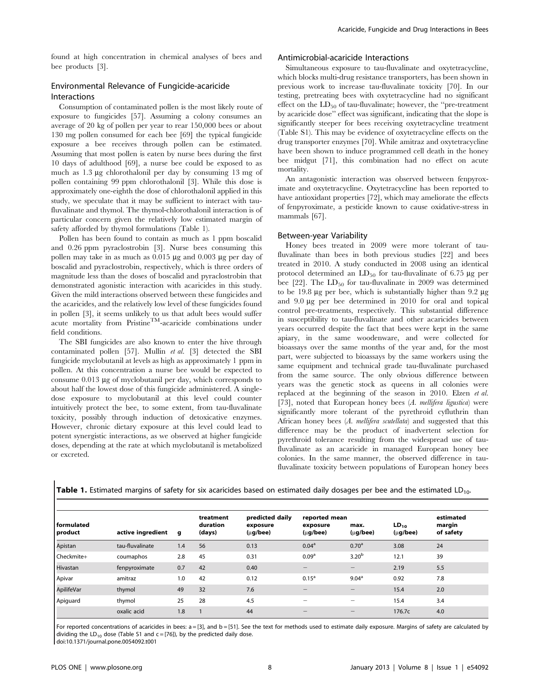found at high concentration in chemical analyses of bees and bee products [3].

#### Environmental Relevance of Fungicide-acaricide Interactions

Consumption of contaminated pollen is the most likely route of exposure to fungicides [57]. Assuming a colony consumes an average of 20 kg of pollen per year to rear 150,000 bees or about 130 mg pollen consumed for each bee [69] the typical fungicide exposure a bee receives through pollen can be estimated. Assuming that most pollen is eaten by nurse bees during the first 10 days of adulthood [69], a nurse bee could be exposed to as much as 1.3 mg chlorothalonil per day by consuming 13 mg of pollen containing 99 ppm chlorothalonil [3]. While this dose is approximately one-eighth the dose of chlorothalonil applied in this study, we speculate that it may be sufficient to interact with taufluvalinate and thymol. The thymol-chlorothalonil interaction is of particular concern given the relatively low estimated margin of safety afforded by thymol formulations (Table 1).

Pollen has been found to contain as much as 1 ppm boscalid and 0.26 ppm pyraclostrobin [3]. Nurse bees consuming this pollen may take in as much as  $0.015 \mu$ g and  $0.003 \mu$ g per day of boscalid and pyraclostrobin, respectively, which is three orders of magnitude less than the doses of boscalid and pyraclostrobin that demonstrated agonistic interaction with acaricides in this study. Given the mild interactions observed between these fungicides and the acaricides, and the relatively low level of these fungicides found in pollen [3], it seems unlikely to us that adult bees would suffer acute mortality from PristineTM-acaricide combinations under field conditions.

The SBI fungicides are also known to enter the hive through contaminated pollen [57]. Mullin et al. [3] detected the SBI fungicide myclobutanil at levels as high as approximately 1 ppm in pollen. At this concentration a nurse bee would be expected to consume 0.013 µg of myclobutanil per day, which corresponds to about half the lowest dose of this fungicide administered. A singledose exposure to myclobutanil at this level could counter intuitively protect the bee, to some extent, from tau-fluvalinate toxicity, possibly through induction of detoxicative enzymes. However, chronic dietary exposure at this level could lead to potent synergistic interactions, as we observed at higher fungicide doses, depending at the rate at which myclobutanil is metabolized or excreted.

#### Antimicrobial-acaricide Interactions

Simultaneous exposure to tau-fluvalinate and oxytetracycline, which blocks multi-drug resistance transporters, has been shown in previous work to increase tau-fluvalinate toxicity [70]. In our testing, pretreating bees with oxytetracycline had no significant effect on the  $LD_{50}$  of tau-fluvalinate; however, the "pre-treatment" by acaricide dose'' effect was significant, indicating that the slope is significantly steeper for bees receiving oxytetracycline treatment (Table S1). This may be evidence of oxytetracycline effects on the drug transporter enzymes [70]. While amitraz and oxytetracycline have been shown to induce programmed cell death in the honey bee midgut [71], this combination had no effect on acute mortality.

An antagonistic interaction was observed between fenpyroximate and oxytetracycline. Oxytetracycline has been reported to have antioxidant properties [72], which may ameliorate the effects of fenpyroximate, a pesticide known to cause oxidative-stress in mammals [67].

#### Between-year Variability

Honey bees treated in 2009 were more tolerant of taufluvalinate than bees in both previous studies [22] and bees treated in 2010. A study conducted in 2008 using an identical protocol determined an  $LD_{50}$  for tau-fluvalinate of 6.75  $\mu$ g per bee [22]. The  $LD_{50}$  for tau-fluvalinate in 2009 was determined to be 19.8  $\mu$ g per bee, which is substantially higher than 9.2  $\mu$ g and 9.0 mg per bee determined in 2010 for oral and topical control pre-treatments, respectively. This substantial difference in susceptibility to tau-fluvalinate and other acaricides between years occurred despite the fact that bees were kept in the same apiary, in the same woodenware, and were collected for bioassays over the same months of the year and, for the most part, were subjected to bioassays by the same workers using the same equipment and technical grade tau-fluvalinate purchased from the same source. The only obvious difference between years was the genetic stock as queens in all colonies were replaced at the beginning of the season in 2010. Elzen et al. [73], noted that European honey bees (A. mellifera ligustica) were significantly more tolerant of the pyrethroid cyfluthrin than African honey bees (A. mellifera scutellata) and suggested that this difference may be the product of inadvertent selection for pyrethroid tolerance resulting from the widespread use of taufluvalinate as an acaricide in managed European honey bee colonies. In the same manner, the observed difference in taufluvalinate toxicity between populations of European honey bees

| <b>Table 1.</b> Estimated margins of safety for six acaricides based on estimated daily dosages per bee and the estimated LD <sub>10</sub> . |  |  |
|----------------------------------------------------------------------------------------------------------------------------------------------|--|--|
|----------------------------------------------------------------------------------------------------------------------------------------------|--|--|

| l formulated<br>product | active ingredient | g   | treatment<br>duration<br>(days) | predicted daily<br>exposure<br>$(\mu g/bee)$ | reported mean<br>exposure<br>$(\mu$ g/bee) | max.<br>$(\mu g/bee)$    | $LD_{10}$<br>$(\mu g/bee)$ | estimated<br>margin<br>of safety |
|-------------------------|-------------------|-----|---------------------------------|----------------------------------------------|--------------------------------------------|--------------------------|----------------------------|----------------------------------|
| Apistan                 | tau-fluvalinate   | 1.4 | 56                              | 0.13                                         | 0.04 <sup>a</sup>                          | 0.70 <sup>a</sup>        | 3.08                       | 24                               |
| Checkmite+              | coumaphos         | 2.8 | 45                              | 0.31                                         | 0.09 <sup>a</sup>                          | 3.20 <sup>b</sup>        | 12.1                       | 39                               |
| Hivastan                | fenpyroximate     | 0.7 | 42                              | 0.40                                         |                                            | -                        | 2.19                       | 5.5                              |
| Apivar                  | amitraz           | 1.0 | 42                              | 0.12                                         | $0.15^{\circ}$                             | 9.04 <sup>a</sup>        | 0.92                       | 7.8                              |
| ApilifeVar              | thymol            | 49  | 32                              | 7.6                                          |                                            |                          | 15.4                       | 2.0                              |
| Apiguard                | thymol            | 25  | 28                              | 4.5                                          | -                                          | $\overline{\phantom{0}}$ | 15.4                       | 3.4                              |
|                         | oxalic acid       | 1.8 |                                 | 44                                           |                                            |                          | 176.7c                     | 4.0                              |

For reported concentrations of acaricides in bees: a = [3], and b = [51]. See the text for methods used to estimate daily exposure. Margins of safety are calculated by dividing the  $LD_{10}$  dose (Table S1 and c = [76]), by the predicted daily dose. doi:10.1371/journal.pone.0054092.t001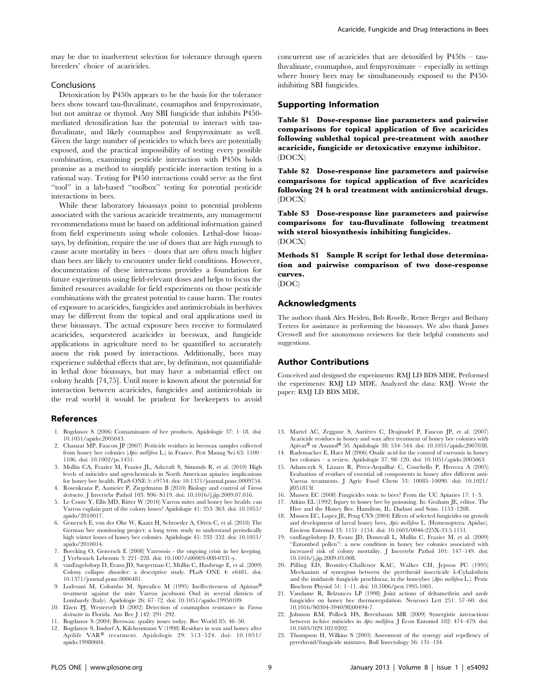may be due to inadvertent selection for tolerance through queen breeders' choice of acaricides.

#### Conclusions

Detoxication by P450s appears to be the basis for the tolerance bees show toward tau-fluvalinate, coumaphos and fenpyroximate, but not amitraz or thymol. Any SBI fungicide that inhibits P450 mediated detoxification has the potential to interact with taufluvalinate, and likely coumaphos and fenpyroximate as well. Given the large number of pesticides to which bees are potentially exposed, and the practical impossibility of testing every possible combination, examining pesticide interaction with P450s holds promise as a method to simplify pesticide interaction testing in a rational way. Testing for P450 interactions could serve as the first ''tool'' in a lab-based ''toolbox'' testing for potential pesticide interactions in bees.

While these laboratory bioassays point to potential problems associated with the various acaricide treatments, any management recommendations must be based on additional information gained from field experiments using whole colonies. Lethal-dose bioassays, by definition, require the use of doses that are high enough to cause acute mortality in bees – doses that are often much higher than bees are likely to encounter under field conditions. However, documentation of these interactions provides a foundation for future experiments using field-relevant doses and helps to focus the limited resources available for field experiments on those pesticide combinations with the greatest potential to cause harm. The routes of exposure to acaricides, fungicides and antimicrobials in beehives may be different from the topical and oral applications used in these bioassays. The actual exposure bees receive to formulated acaricides, sequestered acaricides in beeswax, and fungicide applications in agriculture need to be quantified to accurately assess the risk posed by interactions. Additionally, bees may experience sublethal effects that are, by definition, not quantifiable in lethal dose bioassays, but may have a substantial effect on colony health [74,75]. Until more is known about the potential for interaction between acaricides, fungicides and antimicrobials in the real world it would be prudent for beekeepers to avoid

#### References

- 1. Bogdanov S (2006) Contaminants of bee products. Apidologie 37: 1–18. doi: 10.1051/apido:2005043.
- 2. Chauzat MP, Faucon JP (2007) Pesticide residues in beeswax samples collected from honey bee colonies (Apis mellifera L.) in France. Pest Manag Sci 63: 1100-1106. doi: 10.1002/ps.1451.
- 3. Mullin CA, Frazier M, Frazier JL, Ashcraft S, Simonds R, et al. (2010) High levels of miticides and agrochemicals in North American apiaries: implications for honey bee health. PLoS ONE 5: e9754. doi: 10.1371/journal.pone.0009754.
- 4. Rosenkranz P, Aumeier P, Ziegelmann B (2010) Biology and control of Varroa destructor. J Invertebr Pathol 103: S96–S119. doi: 10.1016/j.jip.2009.07.016.
- 5. Le Conte Y, Ellis MD, Ritter W (2010) Varroa mites and honey bee health: can Varroa explain part of the colony losses? Apidologie 41: 353–363. doi: 10.1051/ apido/2010017.
- 6. Genersch E, von der Ohe W, Kaatz H, Schroeder A, Otten C, et al. (2010) The German bee monitoring project: a long term study to understand periodically high winter losses of honey bee colonies. Apidologie 41: 332–352. doi: 10.1051/ apido/2010014.
- 7. Boecking O, Genersch E (2008) Varroosis the ongoing crisis in bee keeping. J Verbrauch Lebensm 3: 221–228. doi: 10.1007/s00003-008-0331-y.
- 8. vanEngelsdorp D, Evans JD, Saegerman C, Mullin C, Haubruge E, et al. (2009) Colony collapse disorder: a descriptive study. PLoS ONE 4: e6481. doi: 10.1371/journal.pone.0006481.
- 9. Lodesani M, Colombo M, Spreafico M (1995) Ineffectiveness of Apistan<sup>®</sup> treatment against the mite Varroa jacobsoni Oud in several districts of Lombardy (Italy). Apidologie 26: 67–72. doi: 10.1051/apido:19950109.
- 10. Elzen PJ, Westervelt D (2002) Detection of coumaphos resistance in Varroa destructor in Florida. Am Bee J 142: 291–292.
- 11. Bogdanov S (2004) Beeswax: quality issues today. Bee World 85: 46–50.
- 12. Bogdanov S, Imdorf A, Kilchenmann V (1998) Residues in wax and honey after Apilife VAR® treatment. Apidologie 29: 513-524. doi: 10.1051/ apido:19980604.

concurrent use of acaricides that are detoxified by P450s – taufluvalinate, coumaphos, and fenpyroximate – especially in settings where honey bees may be simultaneously exposed to the P450 inhibiting SBI fungicides.

#### Supporting Information

Table S1 Dose-response line parameters and pairwise comparisons for topical application of five acaricides following sublethal topical pre-treatment with another acaricide, fungicide or detoxicative enzyme inhibitor. (DOCX)

Table S2 Dose-response line parameters and pairwise comparisons for topical application of five acaricides following 24 h oral treatment with antimicrobial drugs. (DOCX)

Table S3 Dose-response line parameters and pairwise comparisons for tau-fluvalinate following treatment with sterol biosynthesis inhibiting fungicides. (DOCX)

Methods S1 Sample R script for lethal dose determination and pairwise comparison of two dose-response curves. (DOC)

### Acknowledgments

The authors thank Alex Heiden, Bob Roselle, Renee Berger and Bethany Teeters for assistance in performing the bioassays. We also thank James Creswell and five anonymous reviewers for their helpful comments and suggestions.

#### Author Contributions

Conceived and designed the experiments: RMJ LD BDS MDE. Performed the experiments: RMJ LD MDE. Analyzed the data: RMJ. Wrote the paper: RMJ LD BDS MDE.

- 13. Martel AC, Zeggane S, Aurières C, Drajnudel P, Faucon JP, et al. (2007) Acaricide residues in honey and wax after treatment of honey bee colonies with  $A$ pivar® or Asuntol® 50. Apidologie 38: 534–544. doi: 10.1051/apido:2007038.
- 14. Rademacher E, Harz M (2006) Oxalic acid for the control of varroosis in honey bee colonies – a review. Apidologie 37: 98–120. doi: 10.1051/apido:2005063.
- 15. Adamczyk S, Lázaro R, Pérez-Arquillué C, Conchello P, Herrera A (2005) Evaluation of residues of essential oil components in honey after different anti-Varroa treatments. J Agric Food Chem 53: 10085–10090. doi: 10.1021/ jf051813f.
- 16. Mussen EC (2008) Fungicides toxic to bees? From the UC Apiaries 17: 1–3.
- 17. Atkins EL (1992) Injury to honey bee by poisoning. In: Graham JE, editor. The Hive and the Honey Bee. Hamilton, IL: Dadant and Sons. 1153–1208.
- 18. Mussen EC, Lopez JE, Peng CYS (2004) Effects of selected fungicides on growth and development of larval honey bees, Apis mellifera L. (Hymenoptera: Apidae). Environ Entomol 33: 1151–1154. doi: 10.1603/0046-225X-33.5.1151.
- 19. vanEngelsdorp D, Evans JD, Donovall L, Mullin C, Frazier M, et al. (2009) ''Entombed pollen'': a new condition in honey bee colonies associated with increased risk of colony mortality. J Invertebr Pathol 101: 147–149. doi: 10.1016/j.jip.2009.03.008.
- 20. Pilling ED, Bromley-Challenor KAC, Walker CH, Jepson PC (1995) Mechanism of synergism between the pyrethroid insecticide  $\lambda$ -Cyhalothrin and the imidazole fungicide prochloraz, in the honeybee (Apis mellifera L.). Pestic Biochem Physiol 51: 1–11. doi: 10.1006/pest.1995.1001.
- 21. Vandame R, Belzunces LP (1998) Joint actions of deltamethrin and azole fungicides on honey bee thermoregulation. Neurosci Lett 251: 57–60. doi: 10.1016/S0304-3940(98)00494-7.
- 22. Johnson RM, Pollock HS, Berenbaum MR (2009) Synergistic interactions between in-hive miticides in Apis mellifera. J Econ Entomol 102: 474–479. doi: 10.1603/029.102.0202.
- 23. Thompson H, Wilkins S (2003) Assessment of the synergy and repellency of pyrethroid/fungicide mixtures. Bull Insectology 56: 131–134.